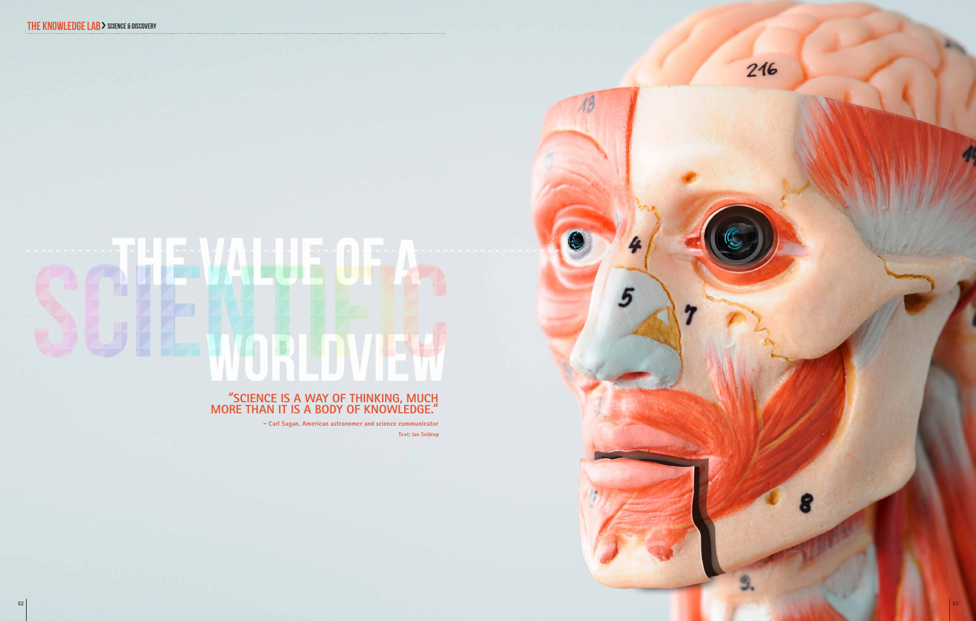# AN ENDER O  $\mathbb{E}$

# "**Science is a way of THINKING, much more than it is a body of knowledge.**"

– **Carl Sagan, American astronomer and science communicator Text: Ian Seldrup** 216

 $\overline{\Lambda^2}$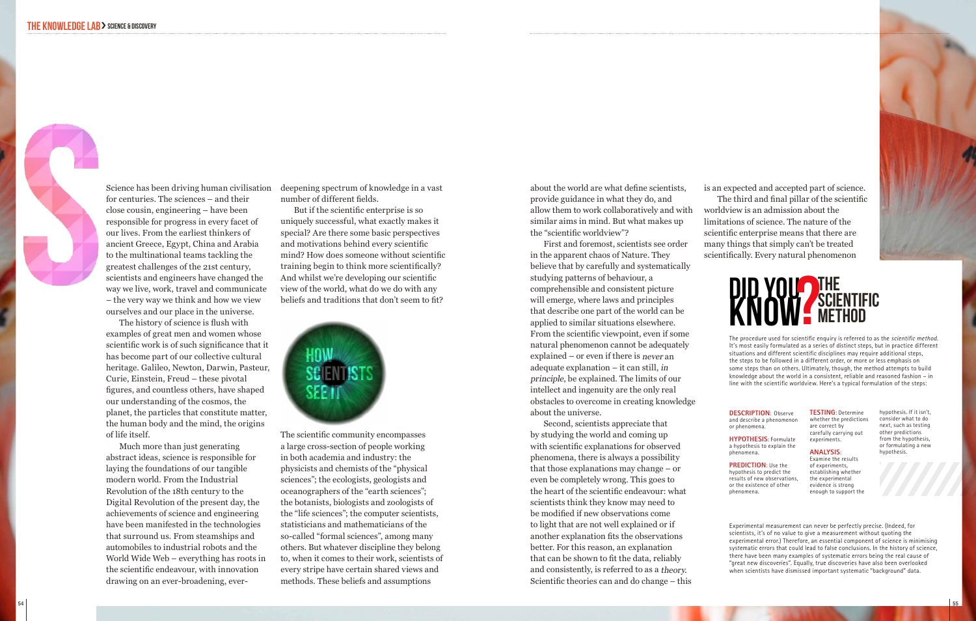

 The history of science is flush with examples of great men and women whose scientific work is of such significance that it has become part of our collective cultural heritage. Galileo, Newton, Darwin, Pasteur, Curie, Einstein, Freud – these pivotal figures, and countless others, have shaped our understanding of the cosmos, the planet, the particles that constitute matter, the human body and the mind, the origins of life itself.

Much more than just generating abstract ideas, science is responsible for laying the foundations of our tangible modern world. From the Industrial Revolution of the 18th century to the Digital Revolution of the present day, the achievements of science and engineering have been manifested in the technologies that surround us. From steamships and automobiles to industrial robots and the World Wide Web – everything has roots in the scientific endeavour, with innovation drawing on an ever-broadening, ever-

Science has been driving human civilisation deepening spectrum of knowledge in a vast number of different fields.

> But if the scientific enterprise is so uniquely successful, what exactly makes it special? Are there some basic perspectives and motivations behind every scientific mind? How does someone without scientific training begin to think more scientifically? And whilst we're developing our scientific view of the world, what do we do with any beliefs and traditions that don't seem to fit?



The scientific community encompasses a large cross-section of people working in both academia and industry: the physicists and chemists of the "physical sciences"; the ecologists, geologists and oceanographers of the "earth sciences"; the botanists, biologists and zoologists of the "life sciences"; the computer scientists, statisticians and mathematicians of the so-called "formal sciences", among many others. But whatever discipline they belong to, when it comes to their work, scientists of every stripe have certain shared views and methods. These beliefs and assumptions

about the world are what define scientists, provide guidance in what they do, and allow them to work collaboratively and with similar aims in mind. But what makes up the "scientific worldview"?

First and foremost, scientists see order in the apparent chaos of Nature. They believe that by carefully and systematically studying patterns of behaviour, a comprehensible and consistent picture will emerge, where laws and principles that describe one part of the world can be applied to similar situations elsewhere. From the scientific viewpoint, even if some natural phenomenon cannot be adequately explained – or even if there is never an adequate explanation – it can still, in principle, be explained. The limits of our intellect and ingenuity are the only real obstacles to overcome in creating knowledge about the universe.

Second, scientists appreciate that by studying the world and coming up with scientific explanations for observed phenomena, there is always a possibility that those explanations may change – or even be completely wrong. This goes to the heart of the scientific endeavour: what scientists think they know may need to be modified if new observations come to light that are not well explained or if another explanation fits the observations better. For this reason, an explanation that can be shown to fit the data, reliably and consistently, is referred to as a theory. Scientific theories can and do change – this is an expected and accepted part of science.

 The third and final pillar of the scientific worldview is an admission about the limitations of science. The nature of the scientific enterprise means that there are many things that simply can't be treated scientifically. Every natural phenomenon



The procedure used for scientific enquiry is referred to as the scientific method. It's most easily formulated as a series of distinct steps, but in practice different situations and different scientific disciplines may require additional steps, the steps to be followed in a different order, or more or less emphasis on some steps than on others. Ultimately, though, the method attempts to build knowledge about the world in a consistent, reliable and reasoned fashion – in line with the scientific worldview. Here's a typical formulation of the steps:

> **Testing**: Determine whether the predictions are correct by carefully carrying out experiments.

hypothesis. If it isn't, consider what to do next, such as testing other predictions from the hypothesis, or formulating a new hypothesis.

### **DESCRIPTION**: Observe and describe a phenomenon or phenomena.

**Hypothesis**: Formulate a hypothesis to explain the phenomena.

**PREDICTION: Use the** hypothesis to predict the results of new observations, or the existence of other phenomena.

**Analysis**: Examine the results of experiments, establishing whether

the experimental evidence is strong enough to support the

Experimental measurement can never be perfectly precise. (Indeed, for scientists, it's of no value to give a measurement without quoting the experimental error.) Therefore, an essential component of science is minimising systematic errors that could lead to false conclusions. In the history of science, there have been many examples of systematic errors being the real cause of "great new discoveries". Equally, true discoveries have also been overlooked when scientists have dismissed important systematic "background" data.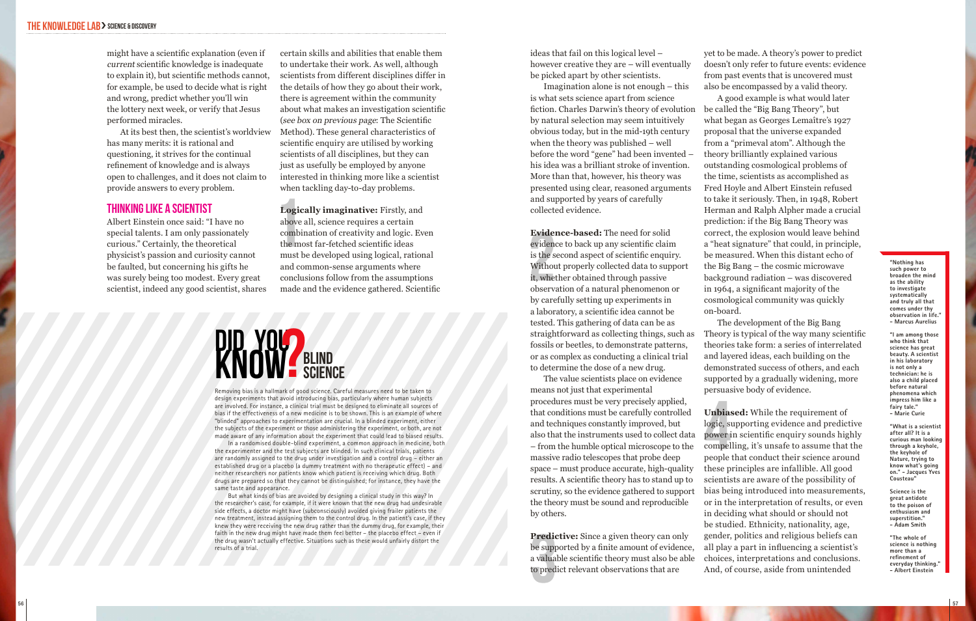might have a scientific explanation (even if current scientific knowledge is inadequate to explain it), but scientific methods cannot, for example, be used to decide what is right and wrong, predict whether you'll win the lottery next week, or verify that Jesus performed miracles.

At its best then, the scientist's worldview has many merits: it is rational and questioning, it strives for the continual refinement of knowledge and is always open to challenges, and it does not claim to provide answers to every problem.

## Thinking Like a Scientist

Albert Einstein once said: "I have no special talents. I am only passionately curious." Certainly, the theoretical physicist's passion and curiosity cannot be faulted, but concerning his gifts he was surely being too modest. Every great scientist, indeed any good scientist, shares

certain skills and abilities that enable them to undertake their work. As well, although scientists from different disciplines differ in the details of how they go about their work, there is agreement within the community about what makes an investigation scientific (see box on previous page: The Scientific Method). These general characteristics of scientific enquiry are utilised by working scientists of all disciplines, but they can just as usefully be employed by anyone interested in thinking more like a scientist when tackling day-to-day problems.

**Logically imaginative:** Firstly, and above all, science requires a certain combination of creativity and logic. Even the most far-fetched scientific ideas must be developed using logical, rational and common-sense arguments where conclusions follow from the assumptions made and the evidence gathered. Scientific Logically imaginative: Firstly, and<br>
and surface and surface in a surface of the most far-fetched scientific ideas<br>
and sollect<br>
the most far-fetched scientific ideas<br>
must be developed using logical, rational<br>
and common-

**BLIND SCIENCE** DID YOU?

Removing bias is a hallmark of good science. Careful measures need to be taken to design experiments that avoid introducing bias, particularly where human subjects are involved. For instance, a clinical trial must be designed to eliminate all sources of bias if the effectiveness of a new medicine is to be shown. This is an example of where "blinded" approaches to experimentation are crucial. In a blinded experiment, either the subjects of the experiment or those administering the experiment, or both, are not made aware of any information about the experiment that could lead to biased results.

In a randomised double-blind experiment, a common approach in medicine, both the experimenter and the test subjects are blinded. In such clinical trials, patients are randomly assigned to the drug under investigation and a control drug – either an established drug or a placebo (a dummy treatment with no therapeutic effect) – and neither researchers nor patients know which patient is receiving which drug. Both drugs are prepared so that they cannot be distinguished; for instance, they have the same taste and appearance.

But what kinds of bias are avoided by designing a clinical study in this way? In the researcher's case, for example, if it were known that the new drug had undesirable side effects, a doctor might have (subconsciously) avoided giving frailer patients the new treatment, instead assigning them to the control drug. In the patient's case, if they knew they were receiving the new drug rather than the dummy drug, for example, their faith in the new drug might have made them feel better – the placebo effect – even if the drug wasn't actually effective. Situations such as these would unfairly distort the results of a trial.

ideas that fail on this logical level – however creative they are – will eventually be picked apart by other scientists.

Imagination alone is not enough – this is what sets science apart from science fiction. Charles Darwin's theory of evolution by natural selection may seem intuitively obvious today, but in the mid-19th century when the theory was published – well before the word "gene" had been invented – his idea was a brilliant stroke of invention. More than that, however, his theory was presented using clear, reasoned arguments and supported by years of carefully collected evidence.

**Evidence-based:** The need for solid evidence to back up any scientific claim is the second aspect of scientific enquiry. Without properly collected data to support it, whether obtained through passive observation of a natural phenomenon or by carefully setting up experiments in a laboratory, a scientific idea cannot be tested. This gathering of data can be as straightforward as collecting things, such as fossils or beetles, to demonstrate patterns, or as complex as conducting a clinical trial to determine the dose of a new drug.

The value scientists place on evidence means not just that experimental procedures must be very precisely applied, that conditions must be carefully controlled and techniques constantly improved, but also that the instruments used to collect data – from the humble optical microscope to the massive radio telescopes that probe deep space – must produce accurate, high-quality results. A scientific theory has to stand up to scrutiny, so the evidence gathered to support the theory must be sound and reproducible by others.

**Predictive:** Since a given theory can only be supported by a finite amount of evidence, a valuable scientific theory must also be able to predict relevant observations that are

yet to be made. A theory's power to predict doesn't only refer to future events: evidence from past events that is uncovered must also be encompassed by a valid theory.

A good example is what would later be called the "Big Bang Theory", but what began as Georges Lemaître's 1927 proposal that the universe expanded from a "primeval atom". Although the theory brilliantly explained various outstanding cosmological problems of the time, scientists as accomplished as Fred Hoyle and Albert Einstein refused to take it seriously. Then, in 1948, Robert Herman and Ralph Alpher made a crucial prediction: if the Big Bang Theory was correct, the explosion would leave behind a "heat signature" that could, in principle, be measured. When this distant echo of the Big Bang – the cosmic microwave background radiation – was discovered in 1964, a significant majority of the cosmological community was quickly on-board.

The development of the Big Bang Theory is typical of the way many scientific theories take form: a series of interrelated and layered ideas, each building on the demonstrated success of others, and each supported by a gradually widening, more persuasive body of evidence.

**Unbiased:** While the requirement of logic, supporting evidence and predictive power in scientific enquiry sounds highly compelling, it's unsafe to assume that the people that conduct their science around these principles are infallible. All good scientists are aware of the possibility of bias being introduced into measurements, or in the interpretation of results, or even in deciding what should or should not be studied. Ethnicity, nationality, age, gender, politics and religious beliefs can all play a part in influencing a scientist's choices, interpretations and conclusions. And, of course, aside from unintended Unbia<br>logic, s<br>power<br>compel<br>people

**"Nothing has such power to broaden the mind as the ability to investigate systematically and truly all that comes under thy observation in life. - Marcus Aurelius**

**"I am among those who think that science has great beauty.** A scientist **in his laboratory is not only a technician: he is also a child placed before natural phenomena which impress him like a fairy tale." - Marie Curie**

**"What is a scientist after all? It is a curious man looking through a keyhole, the keyhole of Nature, trying to know what's going on." - Jacques Yves Cousteau"**

**Science is the great antidote to the poison of enthusiasm and superstition." - Adam Smith "The whole of** 

**science is nothing more than a refinement of**  everyday thinking. **- Albert Einstein**